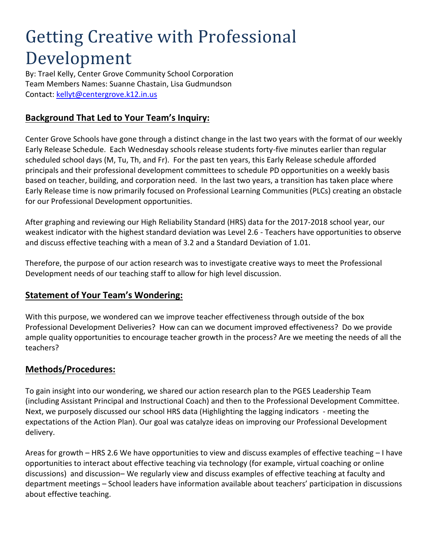# Getting Creative with Professional Development

By: Trael Kelly, Center Grove Community School Corporation Team Members Names: Suanne Chastain, Lisa Gudmundson Contact:<kellyt@centergrove.k12.in.us>

# **Background That Led to Your Team's Inquiry:**

Center Grove Schools have gone through a distinct change in the last two years with the format of our weekly Early Release Schedule. Each Wednesday schools release students forty-five minutes earlier than regular scheduled school days (M, Tu, Th, and Fr). For the past ten years, this Early Release schedule afforded principals and their professional development committees to schedule PD opportunities on a weekly basis based on teacher, building, and corporation need. In the last two years, a transition has taken place where Early Release time is now primarily focused on Professional Learning Communities (PLCs) creating an obstacle for our Professional Development opportunities.

After graphing and reviewing our High Reliability Standard (HRS) data for the 2017-2018 school year, our weakest indicator with the highest standard deviation was Level 2.6 - Teachers have opportunities to observe and discuss effective teaching with a mean of 3.2 and a Standard Deviation of 1.01.

Therefore, the purpose of our action research was to investigate creative ways to meet the Professional Development needs of our teaching staff to allow for high level discussion.

#### **Statement of Your Team's Wondering:**

With this purpose, we wondered can we improve teacher effectiveness through outside of the box Professional Development Deliveries? How can can we document improved effectiveness? Do we provide ample quality opportunities to encourage teacher growth in the process? Are we meeting the needs of all the teachers?

#### **Methods/Procedures:**

To gain insight into our wondering, we shared our action research plan to the PGES Leadership Team (including Assistant Principal and Instructional Coach) and then to the Professional Development Committee. Next, we purposely discussed our school HRS data (Highlighting the lagging indicators - meeting the expectations of the Action Plan). Our goal was catalyze ideas on improving our Professional Development delivery.

Areas for growth – HRS 2.6 We have opportunities to view and discuss examples of effective teaching – I have opportunities to interact about effective teaching via technology (for example, virtual coaching or online discussions) and discussion– We regularly view and discuss examples of effective teaching at faculty and department meetings – School leaders have information available about teachers' participation in discussions about effective teaching.